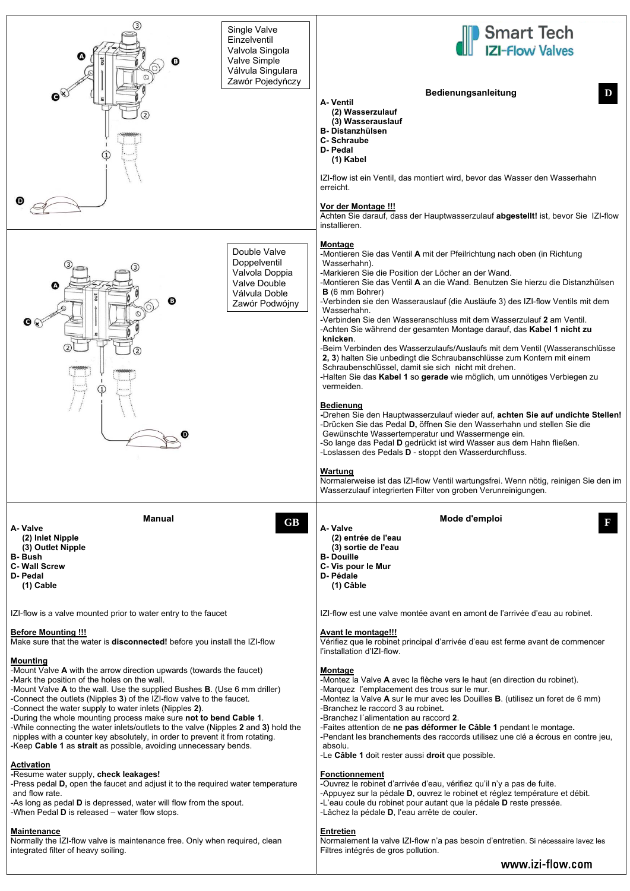-Mark the position of the holes on the wall.

-Mount Valve **A** to the wall. Use the supplied Bushes **B**. (Use 6 mm driller) -Connect the outlets (Nipples **3**) of the IZI-flow valve to the faucet.

| Single Valve<br>Einzelventil<br>Valvola Singola<br>Ø<br><b>Valve Simple</b><br>$\mathbf o$<br>Válvula Singulara<br>Zawór Pojedyńczy<br>$\mathbf{e}^{\mathbf{x}}$                                      | <b>Smart Tech<br/>IZI-Flow Valves</b><br><b>Bedienungsanleitung</b><br><b>A-Ventil</b><br>(2) Wasserzulauf<br>(3) Wasserauslauf<br><b>B- Distanzhülsen</b><br><b>C-Schraube</b><br><b>D-Pedal</b><br>(1) Kabel<br>IZI-flow ist ein Ventil, das montiert wird, bevor das Wasser den Wasserhahn<br>erreicht.<br>Vor der Montage !!!<br>Achten Sie darauf, dass der Hauptwasserzulauf abgestellt! ist, bevor Sie IZI-flow                                                                                                                                                                                                                                                                                                                                                                                                                                                                                                                                                                                                                                                                                                                                                                                                                                                                                                                                                                                                   |
|-------------------------------------------------------------------------------------------------------------------------------------------------------------------------------------------------------|--------------------------------------------------------------------------------------------------------------------------------------------------------------------------------------------------------------------------------------------------------------------------------------------------------------------------------------------------------------------------------------------------------------------------------------------------------------------------------------------------------------------------------------------------------------------------------------------------------------------------------------------------------------------------------------------------------------------------------------------------------------------------------------------------------------------------------------------------------------------------------------------------------------------------------------------------------------------------------------------------------------------------------------------------------------------------------------------------------------------------------------------------------------------------------------------------------------------------------------------------------------------------------------------------------------------------------------------------------------------------------------------------------------------------|
| Double Valve<br>Doppelventil<br>$\circled{3}$<br>Valvola Doppia<br><b>Valve Double</b><br>$\bf o$<br>Válvula Doble<br>O<br>Zawór Podwójny<br>$\circ$<br>$\bullet$<br>$\cup$ $\subset$<br>$\circ$<br>© | installieren.<br><b>Montage</b><br>-Montieren Sie das Ventil A mit der Pfeilrichtung nach oben (in Richtung<br>Wasserhahn).<br>-Markieren Sie die Position der Löcher an der Wand.<br>-Montieren Sie das Ventil A an die Wand. Benutzen Sie hierzu die Distanzhülsen<br><b>B</b> (6 mm Bohrer)<br>-Verbinden sie den Wasserauslauf (die Ausläufe 3) des IZI-flow Ventils mit dem<br>Wasserhahn.<br>-Verbinden Sie den Wasseranschluss mit dem Wasserzulauf 2 am Ventil.<br>-Achten Sie während der gesamten Montage darauf, das Kabel 1 nicht zu<br>knicken.<br>-Beim Verbinden des Wasserzulaufs/Auslaufs mit dem Ventil (Wasseranschlüsse<br>2, 3) halten Sie unbedingt die Schraubanschlüsse zum Kontern mit einem<br>Schraubenschlüssel, damit sie sich nicht mit drehen.<br>-Halten Sie das Kabel 1 so gerade wie möglich, um unnötiges Verbiegen zu<br>vermeiden.<br><b>Bedienung</b><br>-Drehen Sie den Hauptwasserzulauf wieder auf, achten Sie auf undichte Stellen!<br>-Drücken Sie das Pedal D, öffnen Sie den Wasserhahn und stellen Sie die<br>Gewünschte Wassertemperatur und Wassermenge ein.<br>-So lange das Pedal D gedrückt ist wird Wasser aus dem Hahn fließen.<br>-Loslassen des Pedals D - stoppt den Wasserdurchfluss.<br><b>Wartung</b><br>Normalerweise ist das IZI-flow Ventil wartungsfrei. Wenn nötig, reinigen Sie den im<br>Wasserzulauf integrierten Filter von groben Verunreinigungen. |
| <b>Manual</b><br><b>GB</b><br>A-Valve<br>(2) Inlet Nipple<br>(3) Outlet Nipple<br><b>B-Bush</b><br><b>C-Wall Screw</b><br>D- Pedal<br>$(1)$ Cable                                                     | Mode d'emploi<br>A-Valve<br>(2) entrée de l'eau<br>(3) sortie de l'eau<br><b>B-Douille</b><br>C- Vis pour le Mur<br>D- Pédale<br>(1) Câble                                                                                                                                                                                                                                                                                                                                                                                                                                                                                                                                                                                                                                                                                                                                                                                                                                                                                                                                                                                                                                                                                                                                                                                                                                                                               |
| IZI-flow is a valve mounted prior to water entry to the faucet<br><b>Before Mounting !!!</b><br>Make sure that the water is disconnected! before you install the IZI-flow                             | IZI-flow est une valve montée avant en amont de l'arrivée d'eau au robinet.<br><b>Avant le montage!!!</b><br>Vérifiez que le robinet principal d'arrivée d'eau est ferme avant de commencer<br>l'installation d'IZI-flow.                                                                                                                                                                                                                                                                                                                                                                                                                                                                                                                                                                                                                                                                                                                                                                                                                                                                                                                                                                                                                                                                                                                                                                                                |
| <b>Mounting</b><br>-Mount Valve A with the arrow direction upwards (towards the faucet)                                                                                                               | <b>Montage</b>                                                                                                                                                                                                                                                                                                                                                                                                                                                                                                                                                                                                                                                                                                                                                                                                                                                                                                                                                                                                                                                                                                                                                                                                                                                                                                                                                                                                           |

-Connect the water supply to water inlets (Nipples **2)**.

-During the whole mounting process make sure **not to bend Cable 1**.

-While connecting the water inlets/outlets to the valve (Nipples **2** and **3)** hold the nipples with a counter key absolutely, in order to prevent it from rotating. -Keep **Cable 1** as **strait** as possible, avoiding unnecessary bends.

# **Activation**

**-**Resume water supply, **check leakages!** 

-Press pedal **D,** open the faucet and adjust it to the required water temperature and flow rate.

-As long as pedal **D** is depressed, water will flow from the spout. -When Pedal **D** is released – water flow stops.

#### **Maintenance**

Normally the IZI-flow valve is maintenance free. Only when required, clean integrated filter of heavy soiling.

-Montez la Valve **A** avec la flèche vers le haut (en direction du robinet). -Marquez l'emplacement des trous sur le mur.

-Montez la Valve **A** sur le mur avec les Douilles **B**. (utilisez un foret de 6 mm) -Branchez le raccord 3 au robinet**.**

-Branchez l´alimentation au raccord **2**.

-Faites attention de **ne pas déformer le Câble 1** pendant le montage**.**  -Pendant les branchements des raccords utilisez une clé a écrous en contre jeu, absolu.

-Le **Câble 1** doit rester aussi **droit** que possible.

# **Fonctionnement**

-Ouvrez le robinet d'arrivée d'eau, vérifiez qu'il n'y a pas de fuite. -Appuyez sur la pédale **D**, ouvrez le robinet et réglez température et débit. -L'eau coule du robinet pour autant que la pédale **D** reste pressée. -Lâchez la pédale **D**, l'eau arrête de couler.

## **Entretien**

Normalement la valve IZI-flow n'a pas besoin d'entretien. Si nécessaire lavez les Filtres intégrés de gros pollution.